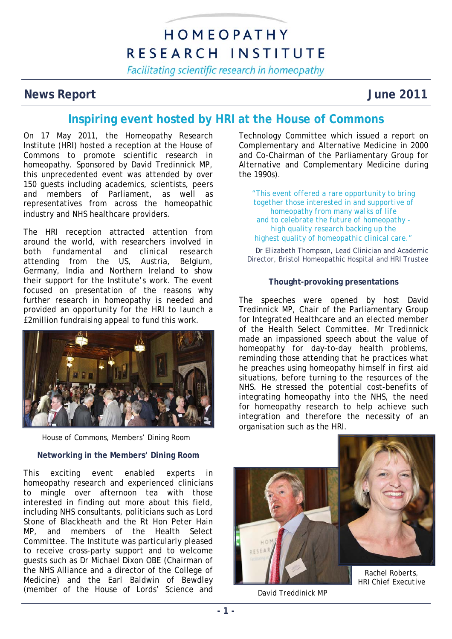# HOMEOPATHY RESEARCH INSTITUTE

Facilitating scientific research in homeopathy

## **News Report Service Service Service Service Service Service Service Service Service Service Service Service Service Service Service Service Service Service Service Service Service Service Service Service Service Service S**

## **Inspiring event hosted by HRI at the House of Commons**

On 17 May 2011, the Homeopathy Research Institute (HRI) hosted a reception at the House of Commons to promote scientific research in homeopathy. Sponsored by David Tredinnick MP, this unprecedented event was attended by over 150 guests including academics, scientists, peers and members of Parliament, as well as representatives from across the homeopathic industry and NHS healthcare providers.

The HRI reception attracted attention from around the world, with researchers involved in both fundamental and clinical research attending from the US, Austria, Belgium, Germany, India and Northern Ireland to show their support for the Institute's work. The event focused on presentation of the reasons why further research in homeopathy is needed and provided an opportunity for the HRI to launch a £2million fundraising appeal to fund this work.



*House of Commons, Members' Dining Room* 

## **Networking in the Members' Dining Room**

This exciting event enabled experts in homeopathy research and experienced clinicians to mingle over afternoon tea with those interested in finding out more about this field, including NHS consultants, politicians such as Lord Stone of Blackheath and the Rt Hon Peter Hain MP, and members of the Health Select Committee. The Institute was particularly pleased to receive cross-party support and to welcome guests such as Dr Michael Dixon OBE (Chairman of the NHS Alliance and a director of the College of Medicine) and the Earl Baldwin of Bewdley (member of the House of Lords' Science and Technology Committee which issued a report on Complementary and Alternative Medicine in 2000 and Co-Chairman of the Parliamentary Group for Alternative and Complementary Medicine during the 1990s).

*"This event offered a rare opportunity to bring together those interested in and supportive of homeopathy from many walks of life and to celebrate the future of homeopathy high quality research backing up the highest quality of homeopathic clinical care."*

*Dr Elizabeth Thompson, Lead Clinician and Academic Director, Bristol Homeopathic Hospital and HRI Trustee* 

### **Thought-provoking presentations**

The speeches were opened by host David Tredinnick MP, Chair of the Parliamentary Group for Integrated Healthcare and an elected member of the Health Select Committee. Mr Tredinnick made an impassioned speech about the value of homeopathy for day-to-day health problems, reminding those attending that he practices what he preaches using homeopathy himself in first aid situations, before turning to the resources of the NHS. He stressed the potential cost-benefits of integrating homeopathy into the NHS, the need for homeopathy research to help achieve such integration and therefore the necessity of an organisation such as the HRI.



*David Treddinick MP*

*HRI Chief Executive*